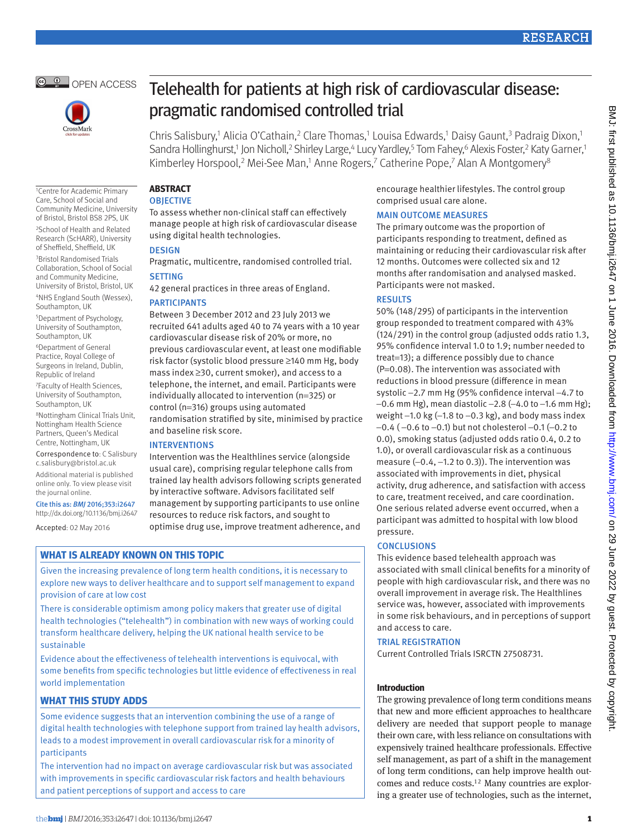



1Centre for Academic Primary Care, School of Social and Community Medicine, University of Bristol, Bristol BS8 2PS, UK 2School of Health and Related Research (ScHARR), University of Sheffield, Sheffield, UK 3Bristol Randomised Trials Collaboration, School of Social and Community Medicine, University of Bristol, Bristol, UK 4NHS England South (Wessex),

Southampton, UK 5Department of Psychology, University of Southampton, Southampton, UK 6Department of General Practice, Royal College of Surgeons in Ireland, Dublin, Republic of Ireland 7 Faculty of Health Sciences, University of Southampton, Southampton, UK

the journal online.

8Nottingham Clinical Trials Unit, Nottingham Health Science Partners, Queen's Medical Centre, Nottingham, UK Correspondence to: C Salisbury c.salisbury@bristol.ac.uk Additional material is published online only. To view please visit

Cite this as: *BMJ* 2016;353:i2647 http://dx.doi.org/10.1136/bmj.i2647 Accepted: 02 May 2016

Telehealth for patients at high risk of cardiovascular disease: pragmatic randomised controlled trial

Chris Salisbury,<sup>1</sup> Alicia O'Cathain,<sup>2</sup> Clare Thomas,<sup>1</sup> Louisa Edwards,<sup>1</sup> Daisy Gaunt,<sup>3</sup> Padraig Dixon,<sup>1</sup> Sandra Hollinghurst,<sup>1</sup> Jon Nicholl,<sup>2</sup> Shirley Large,<sup>4</sup> Lucy Yardley,<sup>5</sup> Tom Fahey,<sup>6</sup> Alexis Foster,<sup>2</sup> Katy Garner,<sup>1</sup> Kimberley Horspool,<sup>2</sup> Mei-See Man,<sup>1</sup> Anne Rogers,<sup>7</sup> Catherine Pope,<sup>7</sup> Alan A Montgomery<sup>8</sup>

## **ABSTRACT**

## **OBJECTIVE**

To assess whether non-clinical staff can effectively manage people at high risk of cardiovascular disease using digital health technologies.

## **DESIGN**

Pragmatic, multicentre, randomised controlled trial. **SETTING** 

42 general practices in three areas of England.

## **PARTICIPANTS**

Between 3 December 2012 and 23 July 2013 we recruited 641 adults aged 40 to 74 years with a 10 year cardiovascular disease risk of 20% or more, no previous cardiovascular event, at least one modifiable risk factor (systolic blood pressure ≥140 mm Hg, body mass index ≥30, current smoker), and access to a telephone, the internet, and email. Participants were individually allocated to intervention (n=325) or control (n=316) groups using automated randomisation stratified by site, minimised by practice and baseline risk score.

## **INTERVENTIONS**

Intervention was the Healthlines service (alongside usual care), comprising regular telephone calls from trained lay health advisors following scripts generated by interactive software. Advisors facilitated self management by supporting participants to use online resources to reduce risk factors, and sought to optimise drug use, improve treatment adherence, and

**What is already known on this topic**

Given the increasing prevalence of long term health conditions, it is necessary to explore new ways to deliver healthcare and to support self management to expand provision of care at low cost

There is considerable optimism among policy makers that greater use of digital health technologies ("telehealth") in combination with new ways of working could transform healthcare delivery, helping the UK national health service to be sustainable

Evidence about the effectiveness of telehealth interventions is equivocal, with some benefits from specific technologies but little evidence of effectiveness in real world implementation

## **What this study adds**

Some evidence suggests that an intervention combining the use of a range of digital health technologies with telephone support from trained lay health advisors, leads to a modest improvement in overall cardiovascular risk for a minority of participants

The intervention had no impact on average cardiovascular risk but was associated with improvements in specific cardiovascular risk factors and health behaviours and patient perceptions of support and access to care

encourage healthier lifestyles. The control group comprised usual care alone.

## **MAIN OUTCOME MEASURES**

The primary outcome was the proportion of participants responding to treatment, defined as maintaining or reducing their cardiovascular risk after 12 months. Outcomes were collected six and 12 months after randomisation and analysed masked. Participants were not masked.

## **RESULTS**

50% (148/295) of participants in the intervention group responded to treatment compared with 43% (124/291) in the control group (adjusted odds ratio 1.3, 95% confidence interval 1.0 to 1.9; number needed to treat=13); a difference possibly due to chance (P=0.08). The intervention was associated with reductions in blood pressure (difference in mean systolic −2.7 mm Hg (95% confidence interval −4.7 to −0.6 mm Hg), mean diastolic −2.8 (−4.0 to −1.6 mm Hg); weight −1.0 kg (−1.8 to −0.3 kg), and body mass index −0.4 ( −0.6 to −0.1) but not cholesterol −0.1 (−0.2 to 0.0), smoking status (adjusted odds ratio 0.4, 0.2 to 1.0), or overall cardiovascular risk as a continuous measure  $(-0.4, -1.2 \text{ to } 0.3)$ ). The intervention was associated with improvements in diet, physical activity, drug adherence, and satisfaction with access to care, treatment received, and care coordination. One serious related adverse event occurred, when a participant was admitted to hospital with low blood pressure.

## **CONCLUSIONS**

This evidence based telehealth approach was associated with small clinical benefits for a minority of people with high cardiovascular risk, and there was no overall improvement in average risk. The Healthlines service was, however, associated with improvements in some risk behaviours, and in perceptions of support and access to care.

## Trial registration

Current Controlled Trials ISRCTN 27508731.

## **Introduction**

The growing prevalence of long term conditions means that new and more efficient approaches to healthcare delivery are needed that support people to manage their own care, with less reliance on consultations with expensively trained healthcare professionals. Effective self management, as part of a shift in the management of long term conditions, can help improve health outcomes and reduce costs.<sup>12</sup> Many countries are exploring a greater use of technologies, such as the internet,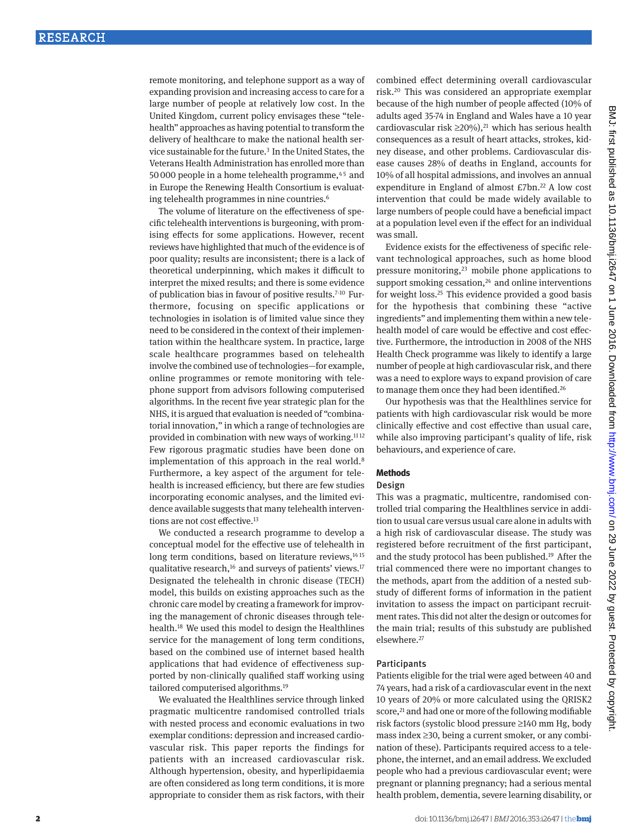remote monitoring, and telephone support as a way of expanding provision and increasing access to care for a large number of people at relatively low cost. In the United Kingdom, current policy envisages these "telehealth" approaches as having potential to transform the delivery of healthcare to make the national health service sustainable for the future.3 In the United States, the Veterans Health Administration has enrolled more than 50000 people in a home telehealth programme,  $45$  and in Europe the Renewing Health Consortium is evaluating telehealth programmes in nine countries.6

The volume of literature on the effectiveness of specific telehealth interventions is burgeoning, with promising effects for some applications. However, recent reviews have highlighted that much of the evidence is of poor quality; results are inconsistent; there is a lack of theoretical underpinning, which makes it difficult to interpret the mixed results; and there is some evidence of publication bias in favour of positive results.7-10 Furthermore, focusing on specific applications or technologies in isolation is of limited value since they need to be considered in the context of their implementation within the healthcare system. In practice, large scale healthcare programmes based on telehealth involve the combined use of technologies—for example, online programmes or remote monitoring with telephone support from advisors following computerised algorithms. In the recent five year strategic plan for the NHS, it is argued that evaluation is needed of "combinatorial innovation," in which a range of technologies are provided in combination with new ways of working.<sup>1112</sup> Few rigorous pragmatic studies have been done on implementation of this approach in the real world.<sup>8</sup> Furthermore, a key aspect of the argument for telehealth is increased efficiency, but there are few studies incorporating economic analyses, and the limited evidence available suggests that many telehealth interventions are not cost effective.<sup>13</sup>

We conducted a research programme to develop a conceptual model for the effective use of telehealth in long term conditions, based on literature reviews,<sup>1415</sup> qualitative research,<sup>16</sup> and surveys of patients' views.<sup>17</sup> Designated the telehealth in chronic disease (TECH) model, this builds on existing approaches such as the chronic care model by creating a framework for improving the management of chronic diseases through telehealth.18 We used this model to design the Healthlines service for the management of long term conditions, based on the combined use of internet based health applications that had evidence of effectiveness supported by non-clinically qualified staff working using tailored computerised algorithms.19

We evaluated the Healthlines service through linked pragmatic multicentre randomised controlled trials with nested process and economic evaluations in two exemplar conditions: depression and increased cardiovascular risk. This paper reports the findings for patients with an increased cardiovascular risk. Although hypertension, obesity, and hyperlipidaemia are often considered as long term conditions, it is more appropriate to consider them as risk factors, with their combined effect determining overall cardiovascular risk.20 This was considered an appropriate exemplar because of the high number of people affected (10% of adults aged 35-74 in England and Wales have a 10 year cardiovascular risk  $\geq 20\%$ ,<sup>21</sup> which has serious health consequences as a result of heart attacks, strokes, kidney disease, and other problems. Cardiovascular disease causes 28% of deaths in England, accounts for 10% of all hospital admissions, and involves an annual expenditure in England of almost £7bn.<sup>22</sup> A low cost intervention that could be made widely available to large numbers of people could have a beneficial impact at a population level even if the effect for an individual was small.

Evidence exists for the effectiveness of specific relevant technological approaches, such as home blood pressure monitoring, $23$  mobile phone applications to support smoking cessation, $24$  and online interventions for weight loss.25 This evidence provided a good basis for the hypothesis that combining these "active ingredients" and implementing them within a new telehealth model of care would be effective and cost effective. Furthermore, the introduction in 2008 of the NHS Health Check programme was likely to identify a large number of people at high cardiovascular risk, and there was a need to explore ways to expand provision of care to manage them once they had been identified.26

Our hypothesis was that the Healthlines service for patients with high cardiovascular risk would be more clinically effective and cost effective than usual care, while also improving participant's quality of life, risk behaviours, and experience of care.

## **Methods**

#### Design

This was a pragmatic, multicentre, randomised controlled trial comparing the Healthlines service in addition to usual care versus usual care alone in adults with a high risk of cardiovascular disease. The study was registered before recruitment of the first participant, and the study protocol has been published.19 After the trial commenced there were no important changes to the methods, apart from the addition of a nested substudy of different forms of information in the patient invitation to assess the impact on participant recruitment rates. This did not alter the design or outcomes for the main trial; results of this substudy are published elsewhere.27

## **Participants**

Patients eligible for the trial were aged between 40 and 74 years, had a risk of a cardiovascular event in the next 10 years of 20% or more calculated using the QRISK2 score,<sup>21</sup> and had one or more of the following modifiable risk factors (systolic blood pressure ≥140 mm Hg, body mass index ≥30, being a current smoker, or any combination of these). Participants required access to a telephone, the internet, and an email address. We excluded people who had a previous cardiovascular event; were pregnant or planning pregnancy; had a serious mental health problem, dementia, severe learning disability, or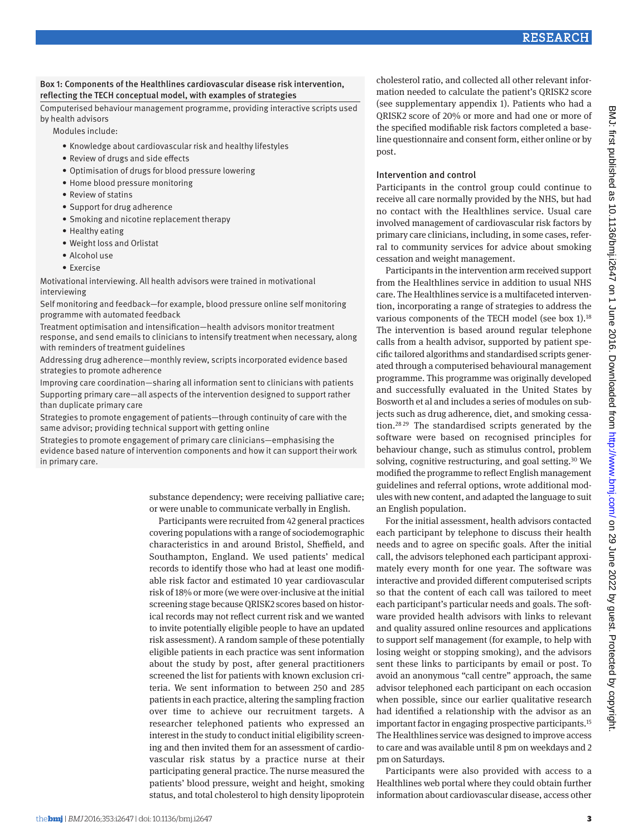## Box 1: Components of the Healthlines cardiovascular disease risk intervention, reflecting the TECH conceptual model, with examples of strategies

Computerised behaviour management programme, providing interactive scripts used by health advisors

Modules include:

- • Knowledge about cardiovascular risk and healthy lifestyles
- Review of drugs and side effects
- • Optimisation of drugs for blood pressure lowering
- Home blood pressure monitoring
- Review of statins
- • Support for drug adherence
- • Smoking and nicotine replacement therapy
- Healthy eating
- • Weight loss and Orlistat
- • Alcohol use
- • Exercise

Motivational interviewing. All health advisors were trained in motivational interviewing

Self monitoring and feedback—for example, blood pressure online self monitoring programme with automated feedback

Treatment optimisation and intensification—health advisors monitor treatment response, and send emails to clinicians to intensify treatment when necessary, along with reminders of treatment guidelines

Addressing drug adherence—monthly review, scripts incorporated evidence based strategies to promote adherence

Improving care coordination—sharing all information sent to clinicians with patients Supporting primary care—all aspects of the intervention designed to support rather than duplicate primary care

Strategies to promote engagement of patients—through continuity of care with the same advisor; providing technical support with getting online

Strategies to promote engagement of primary care clinicians—emphasising the evidence based nature of intervention components and how it can support their work in primary care.

> substance dependency; were receiving palliative care; or were unable to communicate verbally in English.

> Participants were recruited from 42 general practices covering populations with a range of sociodemographic characteristics in and around Bristol, Sheffield, and Southampton, England. We used patients' medical records to identify those who had at least one modifiable risk factor and estimated 10 year cardiovascular risk of 18% or more (we were over-inclusive at the initial screening stage because QRISK2 scores based on historical records may not reflect current risk and we wanted to invite potentially eligible people to have an updated risk assessment). A random sample of these potentially eligible patients in each practice was sent information about the study by post, after general practitioners screened the list for patients with known exclusion criteria. We sent information to between 250 and 285 patients in each practice, altering the sampling fraction over time to achieve our recruitment targets. A researcher telephoned patients who expressed an interest in the study to conduct initial eligibility screening and then invited them for an assessment of cardiovascular risk status by a practice nurse at their participating general practice. The nurse measured the patients' blood pressure, weight and height, smoking status, and total cholesterol to high density lipoprotein

cholesterol ratio, and collected all other relevant information needed to calculate the patient's QRISK2 score (see supplementary appendix 1). Patients who had a QRISK2 score of 20% or more and had one or more of the specified modifiable risk factors completed a baseline questionnaire and consent form, either online or by post.

## Intervention and control

Participants in the control group could continue to receive all care normally provided by the NHS, but had no contact with the Healthlines service. Usual care involved management of cardiovascular risk factors by primary care clinicians, including, in some cases, referral to community services for advice about smoking cessation and weight management.

Participants in the intervention arm received support from the Healthlines service in addition to usual NHS care. The Healthlines service is a multifaceted intervention, incorporating a range of strategies to address the various components of the TECH model (see box 1).18 The intervention is based around regular telephone calls from a health advisor, supported by patient specific tailored algorithms and standardised scripts generated through a computerised behavioural management programme. This programme was originally developed and successfully evaluated in the United States by Bosworth et al and includes a series of modules on subjects such as drug adherence, diet, and smoking cessation.28 29 The standardised scripts generated by the software were based on recognised principles for behaviour change, such as stimulus control, problem solving, cognitive restructuring, and goal setting.<sup>30</sup> We modified the programme to reflect English management guidelines and referral options, wrote additional modules with new content, and adapted the language to suit an English population.

For the initial assessment, health advisors contacted each participant by telephone to discuss their health needs and to agree on specific goals. After the initial call, the advisors telephoned each participant approximately every month for one year. The software was interactive and provided different computerised scripts so that the content of each call was tailored to meet each participant's particular needs and goals. The software provided health advisors with links to relevant and quality assured online resources and applications to support self management (for example, to help with losing weight or stopping smoking), and the advisors sent these links to participants by email or post. To avoid an anonymous "call centre" approach, the same advisor telephoned each participant on each occasion when possible, since our earlier qualitative research had identified a relationship with the advisor as an important factor in engaging prospective participants.15 The Healthlines service was designed to improve access to care and was available until 8 pm on weekdays and 2 pm on Saturdays.

Participants were also provided with access to a Healthlines web portal where they could obtain further information about cardiovascular disease, access other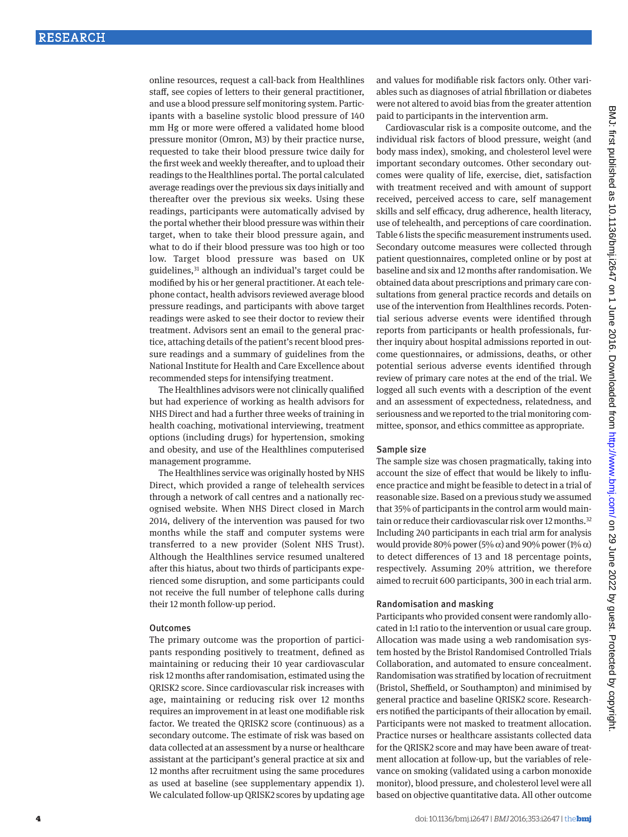online resources, request a call-back from Healthlines staff, see copies of letters to their general practitioner, and use a blood pressure self monitoring system. Participants with a baseline systolic blood pressure of 140 mm Hg or more were offered a validated home blood pressure monitor (Omron, M3) by their practice nurse, requested to take their blood pressure twice daily for the first week and weekly thereafter, and to upload their readings to the Healthlines portal. The portal calculated average readings over the previous six days initially and thereafter over the previous six weeks. Using these readings, participants were automatically advised by the portal whether their blood pressure was within their target, when to take their blood pressure again, and what to do if their blood pressure was too high or too low. Target blood pressure was based on UK guidelines,<sup>31</sup> although an individual's target could be modified by his or her general practitioner. At each telephone contact, health advisors reviewed average blood pressure readings, and participants with above target readings were asked to see their doctor to review their treatment. Advisors sent an email to the general practice, attaching details of the patient's recent blood pressure readings and a summary of guidelines from the National Institute for Health and Care Excellence about recommended steps for intensifying treatment.

The Healthlines advisors were not clinically qualified but had experience of working as health advisors for NHS Direct and had a further three weeks of training in health coaching, motivational interviewing, treatment options (including drugs) for hypertension, smoking and obesity, and use of the Healthlines computerised management programme.

The Healthlines service was originally hosted by NHS Direct, which provided a range of telehealth services through a network of call centres and a nationally recognised website. When NHS Direct closed in March 2014, delivery of the intervention was paused for two months while the staff and computer systems were transferred to a new provider (Solent NHS Trust). Although the Healthlines service resumed unaltered after this hiatus, about two thirds of participants experienced some disruption, and some participants could not receive the full number of telephone calls during their 12 month follow-up period.

## **Outcomes**

The primary outcome was the proportion of participants responding positively to treatment, defined as maintaining or reducing their 10 year cardiovascular risk 12 months after randomisation, estimated using the QRISK2 score. Since cardiovascular risk increases with age, maintaining or reducing risk over 12 months requires an improvement in at least one modifiable risk factor. We treated the QRISK2 score (continuous) as a secondary outcome. The estimate of risk was based on data collected at an assessment by a nurse or healthcare assistant at the participant's general practice at six and 12 months after recruitment using the same procedures as used at baseline (see supplementary appendix 1). We calculated follow-up QRISK2 scores by updating age

and values for modifiable risk factors only. Other variables such as diagnoses of atrial fibrillation or diabetes were not altered to avoid bias from the greater attention paid to participants in the intervention arm.

Cardiovascular risk is a composite outcome, and the individual risk factors of blood pressure, weight (and body mass index), smoking, and cholesterol level were important secondary outcomes. Other secondary outcomes were quality of life, exercise, diet, satisfaction with treatment received and with amount of support received, perceived access to care, self management skills and self efficacy, drug adherence, health literacy, use of telehealth, and perceptions of care coordination. Table 6 lists the specific measurement instruments used. Secondary outcome measures were collected through patient questionnaires, completed online or by post at baseline and six and 12 months after randomisation. We obtained data about prescriptions and primary care consultations from general practice records and details on use of the intervention from Healthlines records. Potential serious adverse events were identified through reports from participants or health professionals, further inquiry about hospital admissions reported in outcome questionnaires, or admissions, deaths, or other potential serious adverse events identified through review of primary care notes at the end of the trial. We logged all such events with a description of the event and an assessment of expectedness, relatedness, and seriousness and we reported to the trial monitoring committee, sponsor, and ethics committee as appropriate.

#### Sample size

The sample size was chosen pragmatically, taking into account the size of effect that would be likely to influence practice and might be feasible to detect in a trial of reasonable size. Based on a previous study we assumed that 35% of participants in the control arm would maintain or reduce their cardiovascular risk over 12 months.<sup>32</sup> Including 240 participants in each trial arm for analysis would provide 80% power (5% α) and 90% power (1% α) to detect differences of 13 and 18 percentage points, respectively. Assuming 20% attrition, we therefore aimed to recruit 600 participants, 300 in each trial arm.

#### Randomisation and masking

Participants who provided consent were randomly allocated in 1:1 ratio to the intervention or usual care group. Allocation was made using a web randomisation system hosted by the Bristol Randomised Controlled Trials Collaboration, and automated to ensure concealment. Randomisation was stratified by location of recruitment (Bristol, Sheffield, or Southampton) and minimised by general practice and baseline QRISK2 score. Researchers notified the participants of their allocation by email. Participants were not masked to treatment allocation. Practice nurses or healthcare assistants collected data for the QRISK2 score and may have been aware of treatment allocation at follow-up, but the variables of relevance on smoking (validated using a carbon monoxide monitor), blood pressure, and cholesterol level were all based on objective quantitative data. All other outcome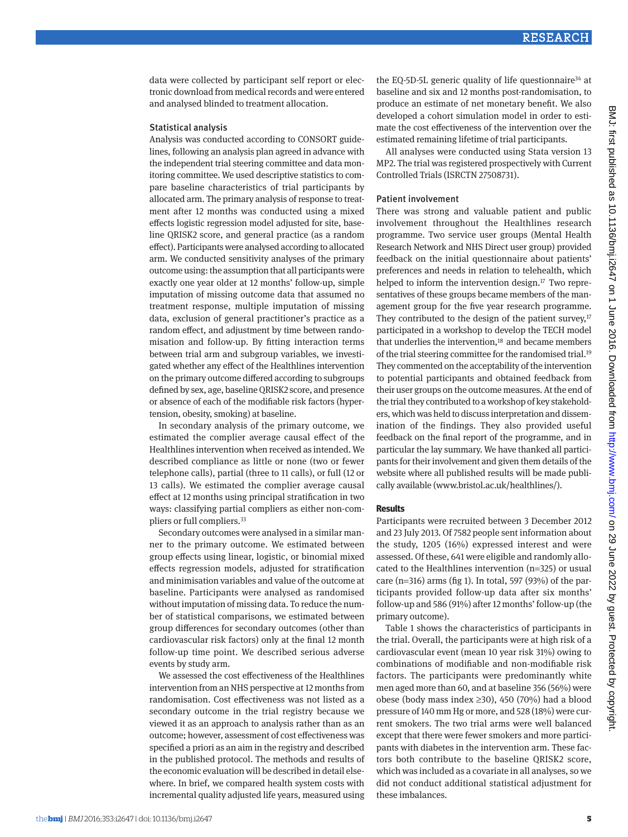data were collected by participant self report or electronic download from medical records and were entered and analysed blinded to treatment allocation.

#### Statistical analysis

Analysis was conducted according to CONSORT guidelines, following an analysis plan agreed in advance with the independent trial steering committee and data monitoring committee. We used descriptive statistics to compare baseline characteristics of trial participants by allocated arm. The primary analysis of response to treatment after 12 months was conducted using a mixed effects logistic regression model adjusted for site, baseline QRISK2 score, and general practice (as a random effect). Participants were analysed according to allocated arm. We conducted sensitivity analyses of the primary outcome using: the assumption that all participants were exactly one year older at 12 months' follow-up, simple imputation of missing outcome data that assumed no treatment response, multiple imputation of missing data, exclusion of general practitioner's practice as a random effect, and adjustment by time between randomisation and follow-up. By fitting interaction terms between trial arm and subgroup variables, we investigated whether any effect of the Healthlines intervention on the primary outcome differed according to subgroups defined by sex, age, baseline QRISK2 score, and presence or absence of each of the modifiable risk factors (hypertension, obesity, smoking) at baseline.

In secondary analysis of the primary outcome, we estimated the complier average causal effect of the Healthlines intervention when received as intended. We described compliance as little or none (two or fewer telephone calls), partial (three to 11 calls), or full (12 or 13 calls). We estimated the complier average causal effect at 12 months using principal stratification in two ways: classifying partial compliers as either non-compliers or full compliers.33

Secondary outcomes were analysed in a similar manner to the primary outcome. We estimated between group effects using linear, logistic, or binomial mixed effects regression models, adjusted for stratification and minimisation variables and value of the outcome at baseline. Participants were analysed as randomised without imputation of missing data. To reduce the number of statistical comparisons, we estimated between group differences for secondary outcomes (other than cardiovascular risk factors) only at the final 12 month follow-up time point. We described serious adverse events by study arm.

We assessed the cost effectiveness of the Healthlines intervention from an NHS perspective at 12 months from randomisation. Cost effectiveness was not listed as a secondary outcome in the trial registry because we viewed it as an approach to analysis rather than as an outcome; however, assessment of cost effectiveness was specified a priori as an aim in the registry and described in the published protocol. The methods and results of the economic evaluation will be described in detail elsewhere. In brief, we compared health system costs with incremental quality adjusted life years, measured using the EQ-5D-5L generic quality of life questionnaire<sup>34</sup> at baseline and six and 12 months post-randomisation, to produce an estimate of net monetary benefit. We also developed a cohort simulation model in order to estimate the cost effectiveness of the intervention over the estimated remaining lifetime of trial participants.

All analyses were conducted using Stata version 13 MP2. The trial was registered prospectively with Current Controlled Trials (ISRCTN 27508731).

#### Patient involvement

There was strong and valuable patient and public involvement throughout the Healthlines research programme. Two service user groups (Mental Health Research Network and NHS Direct user group) provided feedback on the initial questionnaire about patients' preferences and needs in relation to telehealth, which helped to inform the intervention design.<sup>17</sup> Two representatives of these groups became members of the management group for the five year research programme. They contributed to the design of the patient survey, $17$ participated in a workshop to develop the TECH model that underlies the intervention, $18$  and became members of the trial steering committee for the randomised trial.<sup>19</sup> They commented on the acceptability of the intervention to potential participants and obtained feedback from their user groups on the outcome measures. At the end of the trial they contributed to a workshop of key stakeholders, which was held to discuss interpretation and dissemination of the findings. They also provided useful feedback on the final report of the programme, and in particular the lay summary. We have thanked all participants for their involvement and given them details of the website where all published results will be made publically available (www.bristol.ac.uk/healthlines/).

#### **Results**

Participants were recruited between 3 December 2012 and 23 July 2013. Of 7582 people sent information about the study, 1205 (16%) expressed interest and were assessed. Of these, 641 were eligible and randomly allocated to the Healthlines intervention (n=325) or usual care (n=316) arms (fig 1). In total, 597 (93%) of the participants provided follow-up data after six months' follow-up and 586 (91%) after 12 months' follow-up (the primary outcome).

Table 1 shows the characteristics of participants in the trial. Overall, the participants were at high risk of a cardiovascular event (mean 10 year risk 31%) owing to combinations of modifiable and non-modifiable risk factors. The participants were predominantly white men aged more than 60, and at baseline 356 (56%) were obese (body mass index ≥30), 450 (70%) had a blood pressure of 140 mm Hg or more, and 528 (18%) were current smokers. The two trial arms were well balanced except that there were fewer smokers and more participants with diabetes in the intervention arm. These factors both contribute to the baseline QRISK2 score, which was included as a covariate in all analyses, so we did not conduct additional statistical adjustment for these imbalances.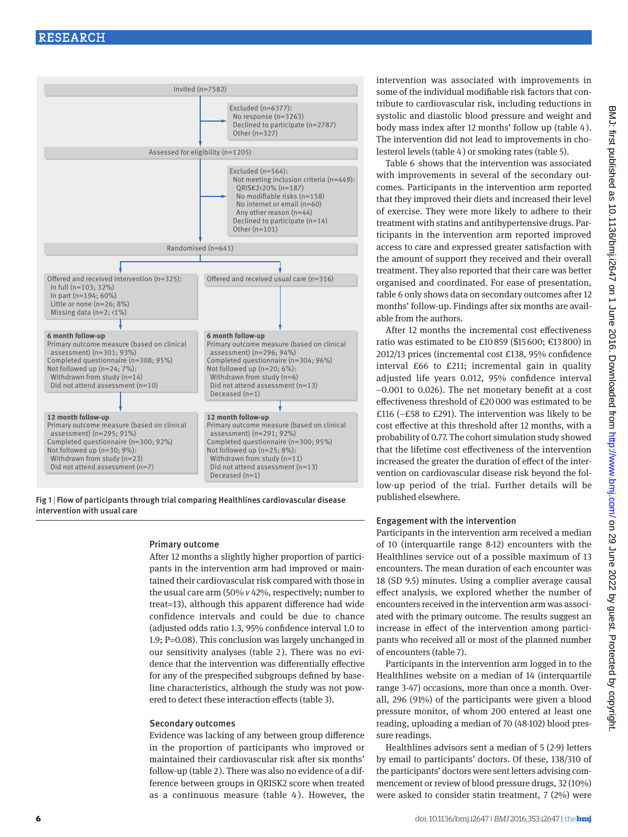

#### Fig 1 | Flow of participants through trial comparing Healthlines cardiovascular disease intervention with usual care

#### Primary outcome

After 12 months a slightly higher proportion of participants in the intervention arm had improved or maintained their cardiovascular risk compared with those in the usual care arm (50% *v* 42%, respectively; number to treat=13), although this apparent difference had wide confidence intervals and could be due to chance (adjusted odds ratio 1.3, 95% confidence interval 1.0 to 1.9; P=0.08). This conclusion was largely unchanged in our sensitivity analyses (table 2). There was no evidence that the intervention was differentially effective for any of the prespecified subgroups defined by baseline characteristics, although the study was not powered to detect these interaction effects (table 3).

## Secondary outcomes

Evidence was lacking of any between group difference in the proportion of participants who improved or maintained their cardiovascular risk after six months' follow-up (table 2). There was also no evidence of a difference between groups in QRISK2 score when treated as a continuous measure (table 4 ). However, the intervention was associated with improvements in some of the individual modifiable risk factors that contribute to cardiovascular risk, including reductions in systolic and diastolic blood pressure and weight and body mass index after 12 months' follow up (table 4). The intervention did not lead to improvements in cholesterol levels (table 4) or smoking rates (table 5).

Table 6 shows that the intervention was associated with improvements in several of the secondary outcomes. Participants in the intervention arm reported that they improved their diets and increased their level of exercise. They were more likely to adhere to their treatment with statins and antihypertensive drugs. Participants in the intervention arm reported improved access to care and expressed greater satisfaction with the amount of support they received and their overall treatment. They also reported that their care was better organised and coordinated. For ease of presentation, table 6 only shows data on secondary outcomes after 12 months' follow-up. Findings after six months are available from the authors.

After 12 months the incremental cost effectiveness ratio was estimated to be £10859 (\$15600; €13800) in 2012/13 prices (incremental cost £138, 95% confidence interval £66 to £211; incremental gain in quality adjusted life years 0.012, 95% confidence interval −0.001 to 0.026). The net monetary benefit at a cost effectiveness threshold of £20000 was estimated to be £116 (−£58 to £291). The intervention was likely to be cost effective at this threshold after 12 months, with a probability of 0.77. The cohort simulation study showed that the lifetime cost effectiveness of the intervention increased the greater the duration of effect of the intervention on cardiovascular disease risk beyond the follow-up period of the trial. Further details will be published elsewhere.

#### Engagement with the intervention

Participants in the intervention arm received a median of 10 (interquartile range 8-12) encounters with the Healthlines service out of a possible maximum of 13 encounters. The mean duration of each encounter was 18 (SD 9.5) minutes. Using a complier average causal effect analysis, we explored whether the number of encounters received in the intervention arm was associated with the primary outcome. The results suggest an increase in effect of the intervention among participants who received all or most of the planned number of encounters (table 7).

Participants in the intervention arm logged in to the Healthlines website on a median of 14 (interquartile range 3-47) occasions, more than once a month. Overall, 296 (91%) of the participants were given a blood pressure monitor, of whom 200 entered at least one reading, uploading a median of 70 (48-102) blood pressure readings.

Healthlines advisors sent a median of 5 (2-9) letters by email to participants' doctors. Of these, 138/310 of the participants' doctors were sent letters advising commencement or review of blood pressure drugs, 32 (10%) were asked to consider statin treatment, 7 (2%) were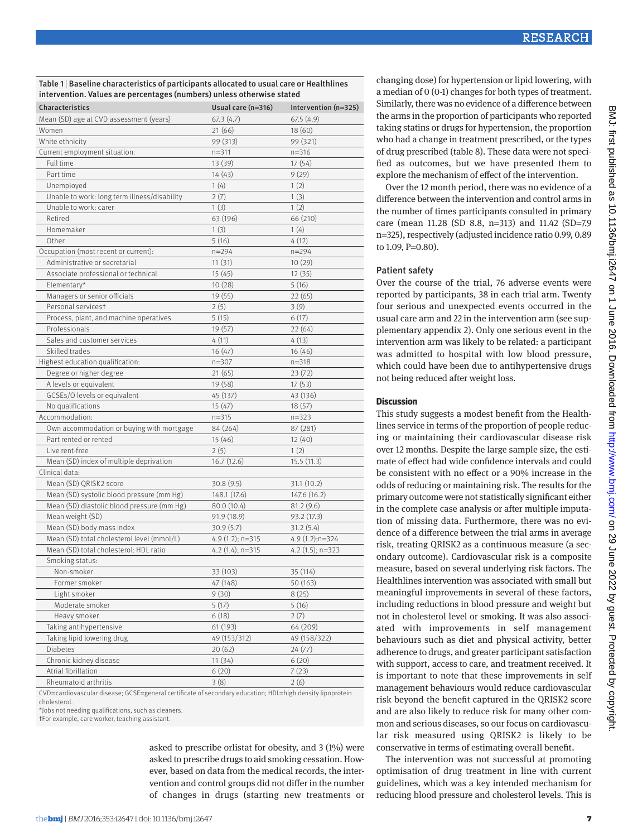Table 1 | Baseline characteristics of participants allocated to usual care or Healthlines intervention. Values are percentages (numbers) unless otherwise stated

| Characteristics                              | Usual care (n=316)  | Intervention (n=325) |
|----------------------------------------------|---------------------|----------------------|
| Mean (SD) age at CVD assessment (years)      | 67.3(4.7)           | 67.5 (4.9)           |
| Women                                        | 21(66)              | 18 (60)              |
| White ethnicity                              | 99 (313)            | 99 (321)             |
| Current employment situation:                | $n = 311$           | $n = 316$            |
| Full time                                    | 13 (39)             | 17(54)               |
| Part time                                    | 14(43)              | 9(29)                |
| Unemployed                                   | 1(4)                | 1(2)                 |
| Unable to work: long term illness/disability | 2(7)                | 1(3)                 |
| Unable to work: carer                        | 1(3)                | 1(2)                 |
| Retired                                      | 63 (196)            | 66 (210)             |
| Homemaker                                    | 1(3)                | 1(4)                 |
| Other                                        | 5(16)               | 4 (12)               |
| Occupation (most recent or current):         | $n = 294$           | $n = 294$            |
| Administrative or secretarial                | 11(31)              | 10(29)               |
| Associate professional or technical          | 15(45)              | 12(35)               |
| Elementary*                                  | 10(28)              | 5(16)                |
| Managers or senior officials                 | 19(55)              | 22 (65)              |
| Personal servicest                           | 2(5)                | 3(9)                 |
| Process, plant, and machine operatives       | 5(15)               | 6(17)                |
| Professionals                                | 19(57)              | 22(64)               |
| Sales and customer services                  | 4(11)               | 4 (13)               |
| Skilled trades                               | 16(47)              | 16(46)               |
| Highest education qualification:             | $n = 307$           | $n = 318$            |
| Degree or higher degree                      | 21(65)              | 23(72)               |
| A levels or equivalent                       | 19 (58)             | 17(53)               |
| GCSEs/O levels or equivalent                 | 45 (137)            | 43 (136)             |
| No qualifications                            | 15(47)              | 18(57)               |
| Accommodation:                               | $n = 315$           | $n = 323$            |
| Own accommodation or buying with mortgage    | 84 (264)            | 87 (281)             |
| Part rented or rented                        | 15(46)              | 12(40)               |
| Live rent-free                               | 2(5)                | 1(2)                 |
| Mean (SD) index of multiple deprivation      | 16.7(12.6)          | 15.5 (11.3)          |
| Clinical data:                               |                     |                      |
| Mean (SD) QRISK2 score                       | 30.8(9.5)           | 31.1 (10.2)          |
| Mean (SD) systolic blood pressure (mm Hg)    | 148.1 (17.6)        | 147.6 (16.2)         |
| Mean (SD) diastolic blood pressure (mm Hg)   | 80.0 (10.4)         | 81.2(9.6)            |
| Mean weight (SD)                             | 91.9(18.9)          | 93.2 (17.3)          |
| Mean (SD) body mass index                    | 30.9(5.7)           | 31.2(5.4)            |
| Mean (SD) total cholesterol level (mmol/L)   | $4.9(1.2)$ ; n=315  | $4.9(1.2);n=324$     |
| Mean (SD) total cholesterol: HDL ratio       | 4.2 $(1.4)$ ; n=315 | 4.2 (1.5); n=323     |
| Smoking status:                              |                     |                      |
| Non-smoker                                   | 33 (103)            | 35 (114)             |
| Former smoker                                | 47 (148)            | 50 (163)             |
| Light smoker                                 | 9(30)               | 8(25)                |
| Moderate smoker                              | 5(17)               | 5(16)                |
| Heavy smoker                                 | 6(18)               | 2(7)                 |
| Taking antihypertensive                      | 61 (193)            | 64 (209)             |
| Taking lipid lowering drug                   | 49 (153/312)        | 49 (158/322)         |
| Diabetes                                     | 20(62)              | 24 (77)              |
| Chronic kidney disease                       | 11(34)              | 6(20)                |
| Atrial fibrillation                          | 6(20)               | 7(23)                |
| Rheumatoid arthritis                         | 3(8)                | 2(6)                 |
|                                              |                     |                      |

cardiovascular disease; GCSE=general certificate of secondary e cholesterol.

\*Jobs not needing qualifications, such as cleaners.

†For example, care worker, teaching assistant.

asked to prescribe orlistat for obesity, and 3 (1%) were asked to prescribe drugs to aid smoking cessation. However, based on data from the medical records, the intervention and control groups did not differ in the number of changes in drugs (starting new treatments or changing dose) for hypertension or lipid lowering, with a median of 0 (0-1) changes for both types of treatment. Similarly, there was no evidence of a difference between the arms in the proportion of participants who reported taking statins or drugs for hypertension, the proportion who had a change in treatment prescribed, or the types of drug prescribed (table 8). These data were not specified as outcomes, but we have presented them to explore the mechanism of effect of the intervention.

Over the 12 month period, there was no evidence of a difference between the intervention and control arms in the number of times participants consulted in primary care (mean 11.28 (SD 8.8, n=313) and 11.42 (SD=7.9 n=325), respectively (adjusted incidence ratio 0.99, 0.89 to 1.09, P=0.80).

## Patient safety

Over the course of the trial, 76 adverse events were reported by participants, 38 in each trial arm. Twenty four serious and unexpected events occurred in the usual care arm and 22 in the intervention arm (see supplementary appendix 2). Only one serious event in the intervention arm was likely to be related: a participant was admitted to hospital with low blood pressure, which could have been due to antihypertensive drugs not being reduced after weight loss.

#### **Discussion**

This study suggests a modest benefit from the Healthlines service in terms of the proportion of people reducing or maintaining their cardiovascular disease risk over 12 months. Despite the large sample size, the estimate of effect had wide confidence intervals and could be consistent with no effect or a 90% increase in the odds of reducing or maintaining risk. The results for the primary outcome were not statistically significant either in the complete case analysis or after multiple imputation of missing data. Furthermore, there was no evidence of a difference between the trial arms in average risk, treating QRISK2 as a continuous measure (a secondary outcome). Cardiovascular risk is a composite measure, based on several underlying risk factors. The Healthlines intervention was associated with small but meaningful improvements in several of these factors, including reductions in blood pressure and weight but not in cholesterol level or smoking. It was also associated with improvements in self management behaviours such as diet and physical activity, better adherence to drugs, and greater participant satisfaction with support, access to care, and treatment received. It is important to note that these improvements in self management behaviours would reduce cardiovascular risk beyond the benefit captured in the QRISK2 score and are also likely to reduce risk for many other common and serious diseases, so our focus on cardiovascular risk measured using QRISK2 is likely to be conservative in terms of estimating overall benefit.

The intervention was not successful at promoting optimisation of drug treatment in line with current guidelines, which was a key intended mechanism for reducing blood pressure and cholesterol levels. This is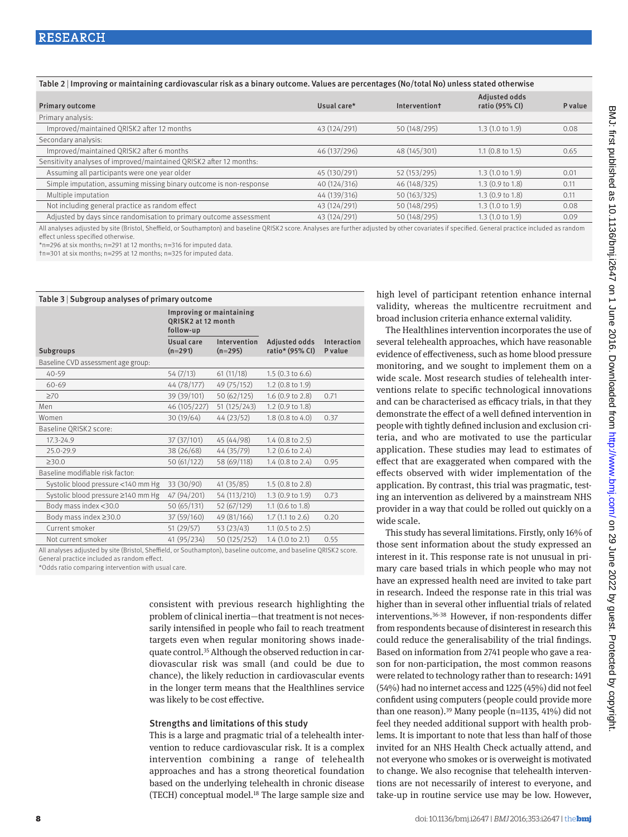# Table 2 | Improving or maintaining cardiovascular risk as a binary outcome. Values are percentages (No/total No) unless stated otherwise

| <b>Primary outcome</b>                                              | Usual care*  | <b>Interventiont</b> | <b>Adjusted odds</b><br>ratio (95% CI) | <b>P</b> value |
|---------------------------------------------------------------------|--------------|----------------------|----------------------------------------|----------------|
| Primary analysis:                                                   |              |                      |                                        |                |
| Improved/maintained QRISK2 after 12 months                          | 43 (124/291) | 50 (148/295)         | 1.3(1.0 to 1.9)                        | 0.08           |
| Secondary analysis:                                                 |              |                      |                                        |                |
| Improved/maintained QRISK2 after 6 months                           | 46 (137/296) | 48 (145/301)         | $1.1$ (0.8 to 1.5)                     | 0.65           |
| Sensitivity analyses of improved/maintained QRISK2 after 12 months: |              |                      |                                        |                |
| Assuming all participants were one year older                       | 45 (130/291) | 52 (153/295)         | 1.3(1.0 to 1.9)                        | 0.01           |
| Simple imputation, assuming missing binary outcome is non-response  | 40 (124/316) | 46 (148/325)         | $1.3$ (0.9 to 1.8)                     | 0.11           |
| Multiple imputation                                                 | 44 (139/316) | 50 (163/325)         | 1.3 (0.9 to 1.8)                       | 0.11           |
| Not including general practice as random effect                     | 43 (124/291) | 50 (148/295)         | 1.3(1.0 to 1.9)                        | 0.08           |
| Adjusted by days since randomisation to primary outcome assessment  | 43 (124/291) | 50 (148/295)         | 1.3(1.0 to 1.9)                        | 0.09           |

All analyses adjusted by site (Bristol, Sheffield, or Southampton) and baseline QRISK2 score. Analyses are further adjusted by other covariates if specified. General practice included as random effect unless specified otherwise.

\*n=296 at six months; n=291 at 12 months; n=316 for imputed data.

†n=301 at six months; n=295 at 12 months; n=325 for imputed data.

| Table 3   Subgroup analyses of primary outcome |                           |                                                |                        |  |  |  |  |  |
|------------------------------------------------|---------------------------|------------------------------------------------|------------------------|--|--|--|--|--|
| follow-up                                      |                           |                                                |                        |  |  |  |  |  |
| <b>Usual care</b><br>$(n=291)$                 | Intervention<br>$(n=295)$ | <b>Adjusted odds</b><br>ratio* (95% CI)        | Interaction<br>P value |  |  |  |  |  |
|                                                |                           |                                                |                        |  |  |  |  |  |
| 54(7/13)                                       | 61(11/18)                 | $1.5(0.3 \text{ to } 6.6)$                     |                        |  |  |  |  |  |
| 44 (78/177)                                    | 49 (75/152)               | $1.2$ (0.8 to 1.9)                             |                        |  |  |  |  |  |
| 39 (39/101)                                    | 50 (62/125)               | 1.6 (0.9 to 2.8)                               | 0.71                   |  |  |  |  |  |
| 46 (105/227)                                   | 51 (125/243)              | $1.2$ (0.9 to 1.8)                             |                        |  |  |  |  |  |
| 30 (19/64)                                     | 44 (23/52)                | $1.8(0.8 \text{ to } 4.0)$                     | 0.37                   |  |  |  |  |  |
|                                                |                           |                                                |                        |  |  |  |  |  |
| 37 (37/101)                                    | 45 (44/98)                | $1.4$ (0.8 to 2.5)                             |                        |  |  |  |  |  |
| 38(26/68)                                      | 44 (35/79)                | $1.2$ (0.6 to 2.4)                             |                        |  |  |  |  |  |
| 50 (61/122)                                    | 58 (69/118)               | $1.4$ (0.8 to 2.4)                             | 0.95                   |  |  |  |  |  |
|                                                |                           |                                                |                        |  |  |  |  |  |
| 33 (30/90)                                     | 41 (35/85)                | $1.5$ (0.8 to 2.8)                             |                        |  |  |  |  |  |
| 47 (94/201)                                    | 54 (113/210)              | 1.3 (0.9 to 1.9)                               | 0.73                   |  |  |  |  |  |
| 50 (65/131)                                    | 52 (67/129)               | $1.1$ (0.6 to 1.8)                             |                        |  |  |  |  |  |
| 37 (59/160)                                    | 49 (81/166)               | $1.7$ (1.1 to 2.6)                             | 0.20                   |  |  |  |  |  |
| 51(29/57)                                      | 53(23/43)                 | 1.1 $(0.5 \text{ to } 2.5)$                    |                        |  |  |  |  |  |
| 41 (95/234)                                    | 50 (125/252)              | $1.4$ (1.0 to 2.1)                             | 0.55                   |  |  |  |  |  |
|                                                |                           | Improving or maintaining<br>QRISK2 at 12 month |                        |  |  |  |  |  |

All analyses adjusted by site (Bristol, Sheffield, or Southampton), baseline outcome, and baseline QRISK2 score. General practice included as random effect.

\*Odds ratio comparing intervention with usual care.

consistent with previous research highlighting the problem of clinical inertia—that treatment is not necessarily intensified in people who fail to reach treatment targets even when regular monitoring shows inadequate control.35 Although the observed reduction in cardiovascular risk was small (and could be due to chance), the likely reduction in cardiovascular events in the longer term means that the Healthlines service was likely to be cost effective.

#### Strengths and limitations of this study

This is a large and pragmatic trial of a telehealth intervention to reduce cardiovascular risk. It is a complex intervention combining a range of telehealth approaches and has a strong theoretical foundation based on the underlying telehealth in chronic disease (TECH) conceptual model.18 The large sample size and

high level of participant retention enhance internal validity, whereas the multicentre recruitment and broad inclusion criteria enhance external validity.

The Healthlines intervention incorporates the use of several telehealth approaches, which have reasonable evidence of effectiveness, such as home blood pressure monitoring, and we sought to implement them on a wide scale. Most research studies of telehealth interventions relate to specific technological innovations and can be characterised as efficacy trials, in that they demonstrate the effect of a well defined intervention in people with tightly defined inclusion and exclusion criteria, and who are motivated to use the particular application. These studies may lead to estimates of effect that are exaggerated when compared with the effects observed with wider implementation of the application. By contrast, this trial was pragmatic, testing an intervention as delivered by a mainstream NHS provider in a way that could be rolled out quickly on a wide scale.

This study has several limitations. Firstly, only 16% of those sent information about the study expressed an interest in it. This response rate is not unusual in primary care based trials in which people who may not have an expressed health need are invited to take part in research. Indeed the response rate in this trial was higher than in several other influential trials of related interventions.36-38 However, if non-respondents differ from respondents because of disinterest in research this could reduce the generalisability of the trial findings. Based on information from 2741 people who gave a reason for non-participation, the most common reasons were related to technology rather than to research: 1491 (54%) had no internet access and 1225 (45%) did not feel confident using computers (people could provide more than one reason).<sup>39</sup> Many people (n=1135, 41%) did not feel they needed additional support with health problems. It is important to note that less than half of those invited for an NHS Health Check actually attend, and not everyone who smokes or is overweight is motivated to change. We also recognise that telehealth interventions are not necessarily of interest to everyone, and take-up in routine service use may be low. However,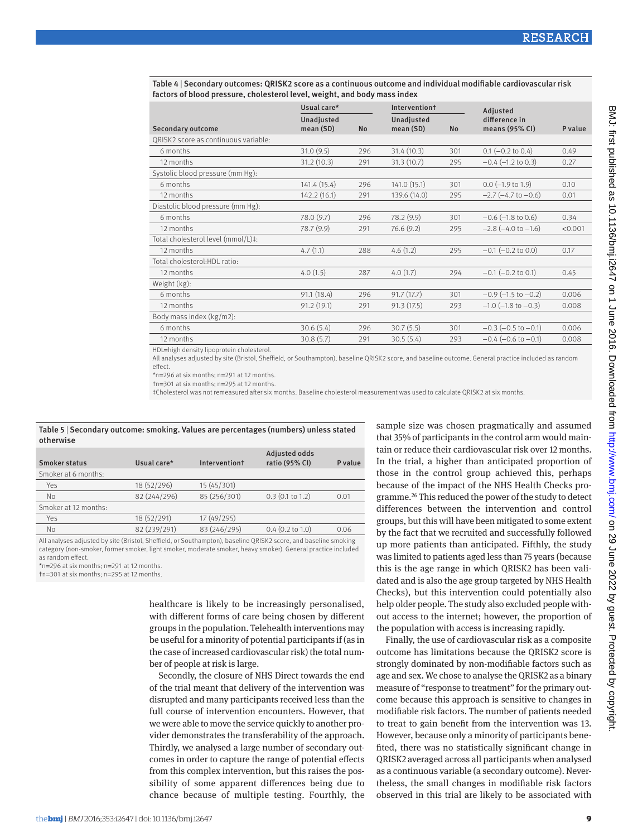Table 4 | Secondary outcomes: QRISK2 score as a continuous outcome and individual modifiable cardiovascular risk factors of blood pressure, cholesterol level, weight, and body mass index

|                                      | Usual care*            |           | Interventiont                 |           | Adjusted                        |         |  |
|--------------------------------------|------------------------|-----------|-------------------------------|-----------|---------------------------------|---------|--|
| Secondary outcome                    | Unadjusted<br>mean(SD) | <b>No</b> | <b>Unadjusted</b><br>mean(SD) | <b>No</b> | difference in<br>means (95% CI) | P value |  |
| ORISK2 score as continuous variable: |                        |           |                               |           |                                 |         |  |
| 6 months                             | 31.0(9.5)              | 296       | 31.4(10.3)                    | 301       | $0.1$ (-0.2 to 0.4)             | 0.49    |  |
| 12 months                            | 31.2(10.3)             | 291       | 31.3(10.7)                    | 295       | $-0.4$ (-1.2 to 0.3)            | 0.27    |  |
| Systolic blood pressure (mm Hg):     |                        |           |                               |           |                                 |         |  |
| 6 months                             | 141.4 (15.4)           | 296       | 141.0 (15.1)                  | 301       | $0.0$ (-1.9 to 1.9)             | 0.10    |  |
| 12 months                            | 142.2 (16.1)           | 291       | 139.6 (14.0)                  | 295       | $-2.7$ ( $-4.7$ to $-0.6$ )     | 0.01    |  |
| Diastolic blood pressure (mm Hg):    |                        |           |                               |           |                                 |         |  |
| 6 months                             | 78.0 (9.7)             | 296       | 78.2 (9.9)                    | 301       | $-0.6$ ( $-1.8$ to 0.6)         | 0.34    |  |
| 12 months                            | 78.7 (9.9)             | 291       | 76.6(9.2)                     | 295       | $-2.8$ ( $-4.0$ to $-1.6$ )     | < 0.001 |  |
| Total cholesterol level (mmol/L)‡:   |                        |           |                               |           |                                 |         |  |
| 12 months                            | 4.7(1.1)               | 288       | 4.6(1.2)                      | 295       | $-0.1$ $(-0.2$ to 0.0)          | 0.17    |  |
| Total cholesterol: HDL ratio:        |                        |           |                               |           |                                 |         |  |
| 12 months                            | 4.0(1.5)               | 287       | 4.0(1.7)                      | 294       | $-0.1$ $(-0.2$ to 0.1)          | 0.45    |  |
| Weight (kg):                         |                        |           |                               |           |                                 |         |  |
| 6 months                             | 91.1(18.4)             | 296       | 91.7(17.7)                    | 301       | $-0.9$ (-1.5 to $-0.2$ )        | 0.006   |  |
| 12 months                            | 91.2(19.1)             | 291       | 91.3(17.5)                    | 293       | $-1.0$ ( $-1.8$ to $-0.3$ )     | 0.008   |  |
| Body mass index (kg/m2):             |                        |           |                               |           |                                 |         |  |
| 6 months                             | 30.6(5.4)              | 296       | 30.7(5.5)                     | 301       | $-0.3$ ( $-0.5$ to $-0.1$ )     | 0.006   |  |
| 12 months                            | 30.8(5.7)              | 291       | 30.5(5.4)                     | 293       | $-0.4$ ( $-0.6$ to $-0.1$ )     | 0.008   |  |
|                                      |                        |           |                               |           |                                 |         |  |

HDL=high density lipoprotein cholesterol.

All analyses adjusted by site (Bristol, Sheffield, or Southampton), baseline QRISK2 score, and baseline outcome. General practice included as random effect.

\*n=296 at six months; n=291 at 12 months.

†n=301 at six months; n=295 at 12 months.

‡Cholesterol was not remeasured after six months. Baseline cholesterol measurement was used to calculate QRISK2 at six months.

| otherwise            |              |               |                                        |         |  |  |
|----------------------|--------------|---------------|----------------------------------------|---------|--|--|
| Smoker status        | Usual care*  | Interventiont | <b>Adjusted odds</b><br>ratio (95% CI) | P value |  |  |
| Smoker at 6 months:  |              |               |                                        |         |  |  |
| Yes                  | 18 (52/296)  | 15 (45/301)   |                                        |         |  |  |
| <b>No</b>            | 82 (244/296) | 85 (256/301)  | $0.3$ (0.1 to 1.2)                     | 0.01    |  |  |
| Smoker at 12 months: |              |               |                                        |         |  |  |
| Yes                  | 18 (52/291)  | 17 (49/295)   |                                        |         |  |  |
| <b>No</b>            | 82 (239/291) | 83 (246/295)  | $0.4$ $(0.2$ to $1.0)$                 | 0.06    |  |  |

Table 5 | Secondary outcome: smoking. Values are percentages (numbers) unless stated

All analyses adjusted by site (Bristol, Sheffield, or Southampton), baseline QRISK2 score, and baseline smoking category (non-smoker, former smoker, light smoker, moderate smoker, heavy smoker). General practice included as random effect. \*n=296 at six months; n=291 at 12 months.

†n=301 at six months; n=295 at 12 months.

healthcare is likely to be increasingly personalised, with different forms of care being chosen by different groups in the population. Telehealth interventions may be useful for a minority of potential participants if (as in the case of increased cardiovascular risk) the total number of people at risk is large.

Secondly, the closure of NHS Direct towards the end of the trial meant that delivery of the intervention was disrupted and many participants received less than the full course of intervention encounters. However, that we were able to move the service quickly to another provider demonstrates the transferability of the approach. Thirdly, we analysed a large number of secondary outcomes in order to capture the range of potential effects from this complex intervention, but this raises the possibility of some apparent differences being due to chance because of multiple testing. Fourthly, the

sample size was chosen pragmatically and assumed that 35% of participants in the control arm would maintain or reduce their cardiovascular risk over 12 months. In the trial, a higher than anticipated proportion of those in the control group achieved this, perhaps because of the impact of the NHS Health Checks programme.26 This reduced the power of the study to detect differences between the intervention and control groups, but this will have been mitigated to some extent by the fact that we recruited and successfully followed up more patients than anticipated. Fifthly, the study was limited to patients aged less than 75 years (because this is the age range in which QRISK2 has been validated and is also the age group targeted by NHS Health Checks), but this intervention could potentially also help older people. The study also excluded people without access to the internet; however, the proportion of the population with access is increasing rapidly.

Finally, the use of cardiovascular risk as a composite outcome has limitations because the QRISK2 score is strongly dominated by non-modifiable factors such as age and sex. We chose to analyse the QRISK2 as a binary measure of "response to treatment" for the primary outcome because this approach is sensitive to changes in modifiable risk factors. The number of patients needed to treat to gain benefit from the intervention was 13. However, because only a minority of participants benefited, there was no statistically significant change in QRISK2 averaged across all participants when analysed as a continuous variable (a secondary outcome). Nevertheless, the small changes in modifiable risk factors observed in this trial are likely to be associated with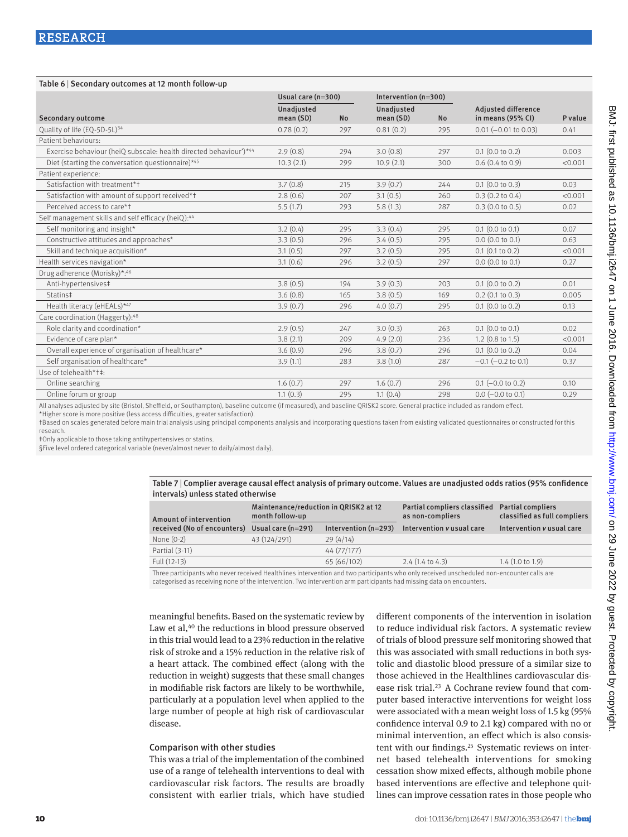Table 6 | Secondary outcomes at 12 month follow-up

| rable o   Secondary outcomes at iz month follow-up                                                                                                                      |                         |     |                         |     |                                                 |         |
|-------------------------------------------------------------------------------------------------------------------------------------------------------------------------|-------------------------|-----|-------------------------|-----|-------------------------------------------------|---------|
|                                                                                                                                                                         | Usual care $(n=300)$    |     | Intervention (n=300)    |     |                                                 |         |
| Secondary outcome                                                                                                                                                       | Unadjusted<br>mean (SD) | No  | Unadjusted<br>mean (SD) | No  | <b>Adjusted difference</b><br>in means (95% CI) | P value |
| Quality of life (EQ-5D-5L) <sup>34</sup>                                                                                                                                | 0.78(0.2)               | 297 | 0.81(0.2)               | 295 | $0.01 (-0.01 to 0.03)$                          | 0.41    |
| Patient behaviours:                                                                                                                                                     |                         |     |                         |     |                                                 |         |
| Exercise behaviour (heiQ subscale: health directed behaviour')*44                                                                                                       | 2.9(0.8)                | 294 | 3.0(0.8)                | 297 | $0.1$ (0.0 to 0.2)                              | 0.003   |
| Diet (starting the conversation questionnaire)*45                                                                                                                       | 10.3(2.1)               | 299 | 10.9(2.1)               | 300 | $0.6$ $(0.4$ to $0.9)$                          | < 0.001 |
| Patient experience:                                                                                                                                                     |                         |     |                         |     |                                                 |         |
| Satisfaction with treatment*†                                                                                                                                           | 3.7(0.8)                | 215 | 3.9(0.7)                | 244 | $0.1$ (0.0 to 0.3)                              | 0.03    |
| Satisfaction with amount of support received*†                                                                                                                          | 2.8(0.6)                | 207 | 3.1(0.5)                | 260 | $0.3$ (0.2 to 0.4)                              | < 0.001 |
| Perceived access to care*t                                                                                                                                              | 5.5(1.7)                | 293 | 5.8(1.3)                | 287 | $0.3$ (0.0 to 0.5)                              | 0.02    |
| Self management skills and self efficacy (heiQ):44                                                                                                                      |                         |     |                         |     |                                                 |         |
| Self monitoring and insight*                                                                                                                                            | 3.2(0.4)                | 295 | 3.3(0.4)                | 295 | $0.1$ (0.0 to 0.1)                              | 0.07    |
| Constructive attitudes and approaches*                                                                                                                                  | 3.3(0.5)                | 296 | 3.4(0.5)                | 295 | $0.0$ (0.0 to 0.1)                              | 0.63    |
| Skill and technique acquisition*                                                                                                                                        | 3.1(0.5)                | 297 | 3.2(0.5)                | 295 | $0.1$ (0.1 to 0.2)                              | < 0.001 |
| Health services navigation*                                                                                                                                             | 3.1(0.6)                | 296 | 3.2(0.5)                | 297 | $0.0$ (0.0 to 0.1)                              | 0.27    |
| Drug adherence (Morisky)*:46                                                                                                                                            |                         |     |                         |     |                                                 |         |
| Anti-hypertensives‡                                                                                                                                                     | 3.8(0.5)                | 194 | 3.9(0.3)                | 203 | $0.1$ (0.0 to 0.2)                              | 0.01    |
| Statins‡                                                                                                                                                                | 3.6(0.8)                | 165 | 3.8(0.5)                | 169 | $0.2$ (0.1 to 0.3)                              | 0.005   |
| Health literacy (eHEALs)*47                                                                                                                                             | 3.9(0.7)                | 296 | 4.0(0.7)                | 295 | $0.1$ (0.0 to 0.2)                              | 0.13    |
| Care coordination (Haggerty):48                                                                                                                                         |                         |     |                         |     |                                                 |         |
| Role clarity and coordination*                                                                                                                                          | 2.9(0.5)                | 247 | 3.0(0.3)                | 263 | $0.1$ (0.0 to 0.1)                              | 0.02    |
| Evidence of care plan*                                                                                                                                                  | 3.8(2.1)                | 209 | 4.9(2.0)                | 236 | $1.2$ (0.8 to 1.5)                              | < 0.001 |
| Overall experience of organisation of healthcare*                                                                                                                       | 3.6(0.9)                | 296 | 3.8(0.7)                | 296 | $0.1$ (0.0 to 0.2)                              | 0.04    |
| Self organisation of healthcare*                                                                                                                                        | 3.9(1.1)                | 283 | 3.8(1.0)                | 287 | $-0.1$ $(-0.2$ to 0.1)                          | 0.37    |
| Use of telehealth*†‡:                                                                                                                                                   |                         |     |                         |     |                                                 |         |
| Online searching                                                                                                                                                        | 1.6(0.7)                | 297 | 1.6(0.7)                | 296 | $0.1$ (-0.0 to 0.2)                             | 0.10    |
| Online forum or group                                                                                                                                                   | 1.1(0.3)                | 295 | 1.1(0.4)                | 298 | $0.0$ (-0.0 to 0.1)                             | 0.29    |
| All applyces edivery by site (Pristal Sheffield or Southampton), baseline outsome (if measured), and baseline OBISK3 seems. Coneral practice included as random effect. |                         |     |                         |     |                                                 |         |

All analyses adjusted by site (Bristol, Sheffield, or Southampton), baseline outcome (if measured), and baseline QRISK2 score. General practice included as random effect.

\*Higher score is more positive (less access difficulties, greater satisfaction).

†Based on scales generated before main trial analysis using principal components analysis and incorporating questions taken from existing validated questionnaires or constructed for this research.

‡Only applicable to those taking antihypertensives or statins.

§Five level ordered categorical variable (never/almost never to daily/almost daily).

Table 7 | Complier average causal effect analysis of primary outcome. Values are unadjusted odds ratios (95% confidence intervals) unless stated otherwise

| Amount of intervention      | Maintenance/reduction in QRISK2 at 12<br>month follow-up |                        | Partial compliers classified<br>as non-compliers | <b>Partial compliers</b><br>classified as full compliers |  |
|-----------------------------|----------------------------------------------------------|------------------------|--------------------------------------------------|----------------------------------------------------------|--|
| received (No of encounters) | Usual care $(n=291)$                                     | Intervention $(n=293)$ | Intervention v usual care                        | Intervention v usual care                                |  |
| None $(0-2)$                | 43 (124/291)                                             | 29(4/14)               |                                                  |                                                          |  |
| Partial (3-11)              |                                                          | 44 (77/177)            |                                                  |                                                          |  |
| Full (12-13)                |                                                          | 65 (66/102)            | $2.4(1.4 \text{ to } 4.3)$                       | $1.4$ (1.0 to 1.9)                                       |  |
|                             |                                                          |                        |                                                  |                                                          |  |

Three participants who never received Healthlines intervention and two participants who only received unscheduled non-encounter calls are categorised as receiving none of the intervention. Two intervention arm participants had missing data on encounters.

meaningful benefits. Based on the systematic review by Law et al,<sup>40</sup> the reductions in blood pressure observed in this trial would lead to a 23% reduction in the relative risk of stroke and a 15% reduction in the relative risk of a heart attack. The combined effect (along with the reduction in weight) suggests that these small changes in modifiable risk factors are likely to be worthwhile, particularly at a population level when applied to the large number of people at high risk of cardiovascular disease.

## Comparison with other studies

This was a trial of the implementation of the combined use of a range of telehealth interventions to deal with cardiovascular risk factors. The results are broadly consistent with earlier trials, which have studied

different components of the intervention in isolation to reduce individual risk factors. A systematic review of trials of blood pressure self monitoring showed that this was associated with small reductions in both systolic and diastolic blood pressure of a similar size to those achieved in the Healthlines cardiovascular disease risk trial.23 A Cochrane review found that computer based interactive interventions for weight loss were associated with a mean weight loss of 1.5 kg (95% confidence interval 0.9 to 2.1 kg) compared with no or minimal intervention, an effect which is also consistent with our findings.<sup>25</sup> Systematic reviews on internet based telehealth interventions for smoking cessation show mixed effects, although mobile phone based interventions are effective and telephone quitlines can improve cessation rates in those people who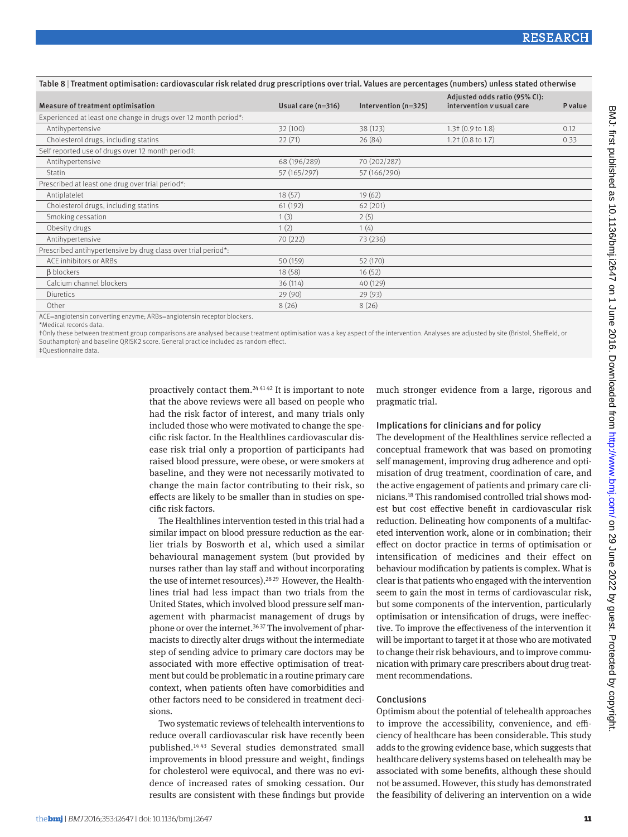Table 8 | Treatment optimisation: cardiovascular risk related drug prescriptions over trial. Values are percentages (numbers) unless stated otherwise

| Usual care $(n=316)$ | Intervention $(n=325)$ | Adjusted odds ratio (95% CI):<br>intervention <i>v</i> usual care | P value |
|----------------------|------------------------|-------------------------------------------------------------------|---------|
|                      |                        |                                                                   |         |
| 32 (100)             | 38 (123)               | $1.3†$ (0.9 to 1.8)                                               | 0.12    |
| 22(71)               | 26(84)                 | $1.2$ $\uparrow$ $(0.8$ to $1.7)$                                 | 0.33    |
|                      |                        |                                                                   |         |
| 68 (196/289)         | 70 (202/287)           |                                                                   |         |
| 57 (165/297)         | 57 (166/290)           |                                                                   |         |
|                      |                        |                                                                   |         |
| 18(57)               | 19(62)                 |                                                                   |         |
| 61 (192)             | 62(201)                |                                                                   |         |
| 1(3)                 | 2(5)                   |                                                                   |         |
| 1(2)                 | 1(4)                   |                                                                   |         |
| 70 (222)             | 73 (236)               |                                                                   |         |
|                      |                        |                                                                   |         |
| 50 (159)             | 52 (170)               |                                                                   |         |
| 18(58)               | 16(52)                 |                                                                   |         |
| 36(114)              | 40 (129)               |                                                                   |         |
| 29(90)               | 29(93)                 |                                                                   |         |
| 8(26)                | 8(26)                  |                                                                   |         |
|                      |                        |                                                                   |         |

ACE=angiotensin converting enzyme; ARBs=angiotensin receptor blockers.

\*Medical records data.

†Only these between treatment group comparisons are analysed because treatment optimisation was a key aspect of the intervention. Analyses are adjusted by site (Bristol, Sheffield, or Southampton) and baseline QRISK2 score. General practice included as random effect.

‡Questionnaire data.

proactively contact them.24 <sup>41</sup> 42 It is important to note that the above reviews were all based on people who had the risk factor of interest, and many trials only included those who were motivated to change the specific risk factor. In the Healthlines cardiovascular disease risk trial only a proportion of participants had raised blood pressure, were obese, or were smokers at baseline, and they were not necessarily motivated to change the main factor contributing to their risk, so effects are likely to be smaller than in studies on specific risk factors.

The Healthlines intervention tested in this trial had a similar impact on blood pressure reduction as the earlier trials by Bosworth et al, which used a similar behavioural management system (but provided by nurses rather than lay staff and without incorporating the use of internet resources).<sup>28 29</sup> However, the Healthlines trial had less impact than two trials from the United States, which involved blood pressure self management with pharmacist management of drugs by phone or over the internet.<sup>36 37</sup> The involvement of pharmacists to directly alter drugs without the intermediate step of sending advice to primary care doctors may be associated with more effective optimisation of treatment but could be problematic in a routine primary care context, when patients often have comorbidities and other factors need to be considered in treatment decisions.

Two systematic reviews of telehealth interventions to reduce overall cardiovascular risk have recently been published.14 43 Several studies demonstrated small improvements in blood pressure and weight, findings for cholesterol were equivocal, and there was no evidence of increased rates of smoking cessation. Our results are consistent with these findings but provide much stronger evidence from a large, rigorous and pragmatic trial.

## Implications for clinicians and for policy

The development of the Healthlines service reflected a conceptual framework that was based on promoting self management, improving drug adherence and optimisation of drug treatment, coordination of care, and the active engagement of patients and primary care clinicians.18 This randomised controlled trial shows modest but cost effective benefit in cardiovascular risk reduction. Delineating how components of a multifaceted intervention work, alone or in combination; their effect on doctor practice in terms of optimisation or intensification of medicines and their effect on behaviour modification by patients is complex. What is clear is that patients who engaged with the intervention seem to gain the most in terms of cardiovascular risk, but some components of the intervention, particularly optimisation or intensification of drugs, were ineffective. To improve the effectiveness of the intervention it will be important to target it at those who are motivated to change their risk behaviours, and to improve communication with primary care prescribers about drug treatment recommendations.

## Conclusions

Optimism about the potential of telehealth approaches to improve the accessibility, convenience, and efficiency of healthcare has been considerable. This study adds to the growing evidence base, which suggests that healthcare delivery systems based on telehealth may be associated with some benefits, although these should not be assumed. However, this study has demonstrated the feasibility of delivering an intervention on a wide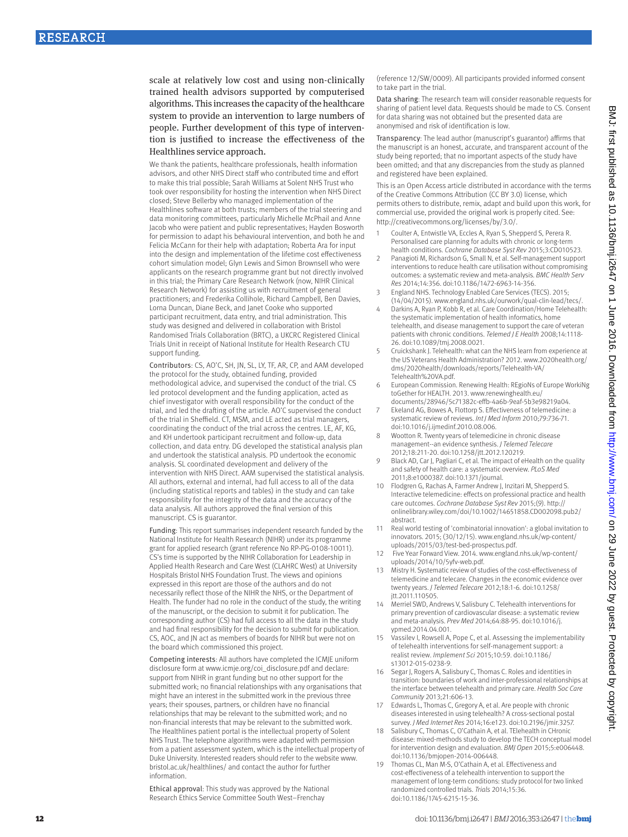scale at relatively low cost and using non-clinically trained health advisors supported by computerised algorithms. This increases the capacity of the healthcare system to provide an intervention to large numbers of people. Further development of this type of intervention is justified to increase the effectiveness of the Healthlines service approach.

We thank the patients, healthcare professionals, health information advisors, and other NHS Direct staff who contributed time and effort to make this trial possible; Sarah Williams at Solent NHS Trust who took over responsibility for hosting the intervention when NHS Direct closed; Steve Bellerby who managed implementation of the Healthlines software at both trusts; members of the trial steering and data monitoring committees, particularly Michelle McPhail and Anne Jacob who were patient and public representatives; Hayden Bosworth for permission to adapt his behavioural intervention, and both he and Felicia McCann for their help with adaptation; Roberta Ara for input into the design and implementation of the lifetime cost effectiveness cohort simulation model; Glyn Lewis and Simon Brownsell who were applicants on the research programme grant but not directly involved in this trial; the Primary Care Research Network (now, NIHR Clinical Research Network) for assisting us with recruitment of general practitioners; and Frederika Collihole, Richard Campbell, Ben Davies, Lorna Duncan, Diane Beck, and Janet Cooke who supported participant recruitment, data entry, and trial administration. This study was designed and delivered in collaboration with Bristol Randomised Trials Collaboration (BRTC), a UKCRC Registered Clinical Trials Unit in receipt of National Institute for Health Research CTU support funding.

Contributors: CS, AO'C, SH, JN, SL, LY, TF, AR, CP, and AAM developed the protocol for the study, obtained funding, provided methodological advice, and supervised the conduct of the trial. CS led protocol development and the funding application, acted as chief investigator with overall responsibility for the conduct of the trial, and led the drafting of the article. AO'C supervised the conduct of the trial in Sheffield. CT, MSM, and LE acted as trial managers, coordinating the conduct of the trial across the centres. LE, AF, KG, and KH undertook participant recruitment and follow-up, data collection, and data entry. DG developed the statistical analysis plan and undertook the statistical analysis. PD undertook the economic analysis. SL coordinated development and delivery of the intervention with NHS Direct. AAM supervised the statistical analysis. All authors, external and internal, had full access to all of the data (including statistical reports and tables) in the study and can take responsibility for the integrity of the data and the accuracy of the data analysis. All authors approved the final version of this manuscript. CS is guarantor.

Funding: This report summarises independent research funded by the National Institute for Health Research (NIHR) under its programme grant for applied research (grant reference No RP-PG-0108-10011). CS's time is supported by the NIHR Collaboration for Leadership in Applied Health Research and Care West (CLAHRC West) at University Hospitals Bristol NHS Foundation Trust. The views and opinions expressed in this report are those of the authors and do not necessarily reflect those of the NIHR the NHS, or the Department of Health. The funder had no role in the conduct of the study, the writing of the manuscript, or the decision to submit it for publication. The corresponding author (CS) had full access to all the data in the study and had final responsibility for the decision to submit for publication. CS, AOC, and JN act as members of boards for NIHR but were not on the board which commissioned this project.

Competing interests: All authors have completed the ICMJE uniform disclosure form at www.icmje.org/coi\_disclosure.pdf and declare: support from NIHR in grant funding but no other support for the submitted work; no financial relationships with any organisations that might have an interest in the submitted work in the previous three years; their spouses, partners, or children have no financial relationships that may be relevant to the submitted work; and no non-financial interests that may be relevant to the submitted work. The Healthlines patient portal is the intellectual property of Solent NHS Trust. The telephone algorithms were adapted with permission from a patient assessment system, which is the intellectual property of Duke University. Interested readers should refer to the website www. bristol.ac.uk/healthlines/ and contact the author for further information.

Ethical approval: This study was approved by the National Research Ethics Service Committee South West–Frenchay

(reference 12/SW/0009). All participants provided informed consent to take part in the trial.

Data sharing: The research team will consider reasonable requests for sharing of patient level data. Requests should be made to CS. Consent for data sharing was not obtained but the presented data are anonymised and risk of identification is low.

Transparency: The lead author (manuscript's guarantor) affirms that the manuscript is an honest, accurate, and transparent account of the study being reported; that no important aspects of the study have been omitted; and that any discrepancies from the study as planned and registered have been explained.

This is an Open Access article distributed in accordance with the terms of the Creative Commons Attribution (CC BY 3.0) license, which permits others to distribute, remix, adapt and build upon this work, for commercial use, provided the original work is properly cited. See: http://creativecommons.org/licenses/by/3.0/.

- Coulter A, Entwistle VA, Eccles A, Ryan S, Shepperd S, Perera R. Personalised care planning for adults with chronic or long-term health conditions. *Cochrane Database Syst Rev* 2015;3:CD010523.
- 2 Panagioti M, Richardson G, Small N, et al. Self-management support interventions to reduce health care utilisation without compromising outcomes: a systematic review and meta-analysis. *BMC Health Serv Res* 2014;14:356. doi:10.1186/1472-6963-14-356.
- 3 England NHS. Technology Enabled Care Services (TECS). 2015; (14/04/2015). www.england.nhs.uk/ourwork/qual-clin-lead/tecs/.
- 4 Darkins A, Ryan P, Kobb R, et al. Care Coordination/Home Telehealth: the systematic implementation of health informatics, home telehealth, and disease management to support the care of veteran patients with chronic conditions. *Telemed J E Health* 2008;14:1118- 26. doi:10.1089/tmj.2008.0021.
- 5 Cruickshank J. Telehealth: what can the NHS learn from experience at the US Veterans Health Administration? 2012. www.2020health.org/ dms/2020health/downloads/reports/Telehealth-VA/ Telehealth%20VA.pdf.
- 6 European Commission. Renewing Health: REgioNs of Europe WorkiNg toGether for HEALTH. 2013. www.renewinghealth.eu/
- documents/28946/5c71382c-effb-4a6b-9eaf-5b3e98219a04. 7 Ekeland AG, Bowes A, Flottorp S. Effectiveness of telemedicine: a systematic review of reviews. *Int J Med Inform* 2010;79:736-71. doi:10.1016/j.ijmedinf.2010.08.006.
- 8 Wootton R. Twenty years of telemedicine in chronic disease management--an evidence synthesis. *J Telemed Telecare* 2012;18:211-20. doi:10.1258/jtt.2012.120219.
- Black AD, Car J, Pagliari C, et al. The impact of eHealth on the quality and safety of health care: a systematic overview. *PLoS Med* 2011;8:e1000387. doi:10.1371/journal.
- 10 Flodgren G, Rachas A, Farmer Andrew J, Inzitari M, Shepperd S. Interactive telemedicine: effects on professional practice and health care outcomes. *Cochrane Database Syst Rev* 2015;(9). http:// onlinelibrary.wiley.com/doi/10.1002/14651858.CD002098.pub2/ abstract.
- 11 Real world testing of 'combinatorial innovation': a global invitation to innovators. 2015; (30/12/15). www.england.nhs.uk/wp-content/ uploads/2015/03/test-bed-prospectus.pdf.
- 12 Five Year Forward View. 2014. www.england.nhs.uk/wp-content/ uploads/2014/10/5yfv-web.pdf.
- 13 Mistry H. Systematic review of studies of the cost-effectiveness of telemedicine and telecare. Changes in the economic evidence over twenty years. *J Telemed Telecare* 2012;18:1-6. doi:10.1258/ itt.2011.110505.
- 14 Merriel SWD, Andrews V, Salisbury C. Telehealth interventions for primary prevention of cardiovascular disease: a systematic review and meta-analysis. *Prev Med* 2014;64:88-95. doi:10.1016/j. ypmed.2014.04.001.
- 15 Vassilev I, Rowsell A, Pope C, et al. Assessing the implementability of telehealth interventions for self-management support: a realist review. *Implement Sci* 2015;10:59. doi:10.1186/ s13012-015-0238-9.
- 16 Segar J, Rogers A, Salisbury C, Thomas C. Roles and identities in transition: boundaries of work and inter-professional relationships at the interface between telehealth and primary care. *Health Soc Care Community* 2013;21:606-13.
- Edwards L, Thomas C, Gregory A, et al. Are people with chronic diseases interested in using telehealth? A cross-sectional postal survey. *J Med Internet Res* 2014;16:e123. doi:10.2196/jmir.3257.
- Salisbury C, Thomas C, O'Cathain A, et al. TElehealth in CHronic disease: mixed-methods study to develop the TECH conceptual model for intervention design and evaluation. *BMJ Open* 2015;5:e006448. doi:10.1136/bmjopen-2014-006448.
- 19 Thomas CL, Man M-S, O'Cathain A, et al. Effectiveness and cost-effectiveness of a telehealth intervention to support the management of long-term conditions: study protocol for two linked randomized controlled trials. *Trials* 2014;15:36. doi:10.1186/1745-6215-15-36.